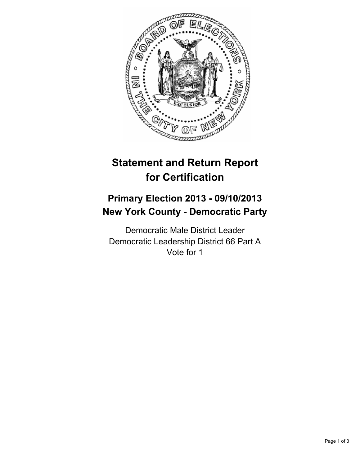

# **Statement and Return Report for Certification**

## **Primary Election 2013 - 09/10/2013 New York County - Democratic Party**

Democratic Male District Leader Democratic Leadership District 66 Part A Vote for 1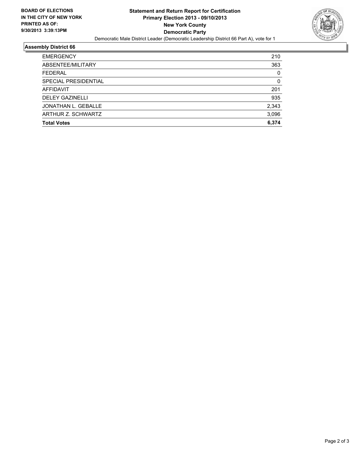

#### **Assembly District 66**

| <b>EMERGENCY</b>       | 210   |
|------------------------|-------|
| ABSENTEE/MILITARY      | 363   |
| <b>FEDERAL</b>         | 0     |
| SPECIAL PRESIDENTIAL   | 0     |
| AFFIDAVIT              | 201   |
| <b>DELEY GAZINELLI</b> | 935   |
| JONATHAN L. GEBALLE    | 2,343 |
| ARTHUR Z. SCHWARTZ     | 3,096 |
| <b>Total Votes</b>     | 6.374 |
|                        |       |